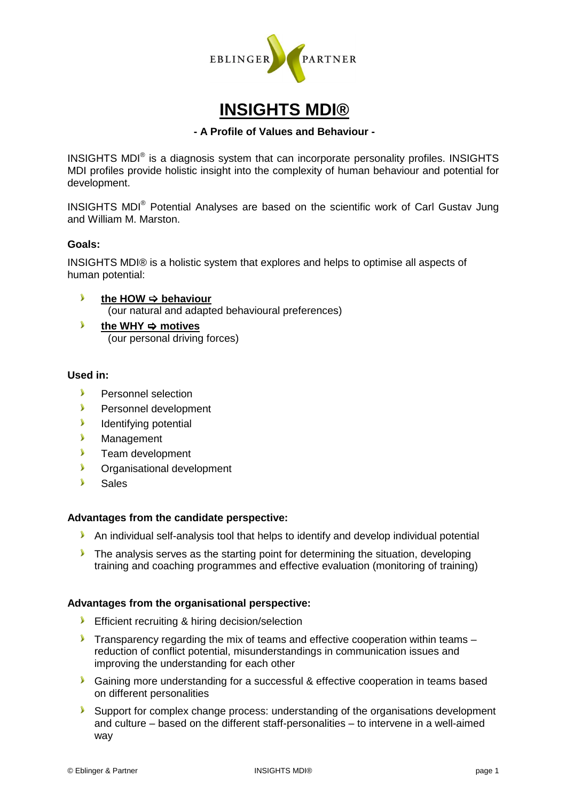

# **INSIGHTS MDI®**

#### **- A Profile of Values and Behaviour -**

INSIGHTS MDI $^{\circ}$  is a diagnosis system that can incorporate personality profiles. INSIGHTS MDI profiles provide holistic insight into the complexity of human behaviour and potential for development.

INSIGHTS MDI<sup>®</sup> Potential Analyses are based on the scientific work of Carl Gustav Jung and William M. Marston.

### **Goals:**

INSIGHTS MDI® is a holistic system that explores and helps to optimise all aspects of human potential:

- $\mathbf{v}$ the HOW  $\Rightarrow$  behaviour (our natural and adapted behavioural preferences)
- $\blacktriangleright$ the WHY  $\Rightarrow$  motives (our personal driving forces)

### **Used in:**

- **Personnel selection**
- **Personnel development**
- **I** Identifying potential
- **Management**
- **Team development**
- **C**rganisational development
- Sales

#### **Advantages from the candidate perspective:**

- An individual self-analysis tool that helps to identify and develop individual potential
- The analysis serves as the starting point for determining the situation, developing training and coaching programmes and effective evaluation (monitoring of training)

#### **Advantages from the organisational perspective:**

- **Efficient recruiting & hiring decision/selection**
- **Transparency regarding the mix of teams and effective cooperation within teams** reduction of conflict potential, misunderstandings in communication issues and improving the understanding for each other
- **Gaining more understanding for a successful & effective cooperation in teams based** on different personalities
- Support for complex change process: understanding of the organisations development and culture – based on the different staff-personalities – to intervene in a well-aimed way